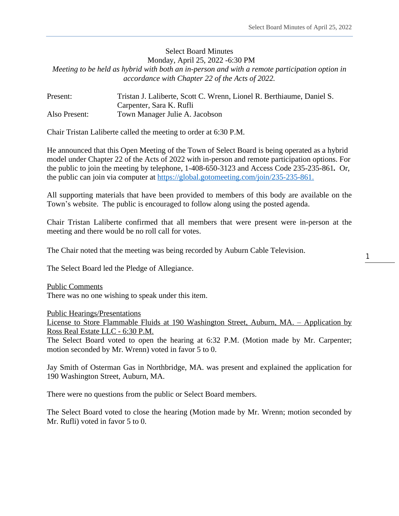# Select Board Minutes Monday, April 25, 2022 -6:30 PM *Meeting to be held as hybrid with both an in-person and with a remote participation option in accordance with Chapter 22 of the Acts of 2022.*

| Present:      | Tristan J. Laliberte, Scott C. Wrenn, Lionel R. Berthiaume, Daniel S. |
|---------------|-----------------------------------------------------------------------|
|               | Carpenter, Sara K. Rufli                                              |
| Also Present: | Town Manager Julie A. Jacobson                                        |

Chair Tristan Laliberte called the meeting to order at 6:30 P.M.

He announced that this Open Meeting of the Town of Select Board is being operated as a hybrid model under Chapter 22 of the Acts of 2022 with in-person and remote participation options. For the public to join the meeting by telephone, 1-408-650-3123 and Access Code 235-235-861*.* Or, the public can join via computer at [https://global.gotomeeting.com/join/235-235-861.](https://global.gotomeeting.com/join/235-235-861)

All supporting materials that have been provided to members of this body are available on the Town's website. The public is encouraged to follow along using the posted agenda.

Chair Tristan Laliberte confirmed that all members that were present were in-person at the meeting and there would be no roll call for votes.

The Chair noted that the meeting was being recorded by Auburn Cable Television.

The Select Board led the Pledge of Allegiance.

Public Comments There was no one wishing to speak under this item.

Public Hearings/Presentations

License to Store Flammable Fluids at 190 Washington Street, Auburn, MA. – Application by Ross Real Estate LLC - 6:30 P.M.

The Select Board voted to open the hearing at 6:32 P.M. (Motion made by Mr. Carpenter; motion seconded by Mr. Wrenn) voted in favor 5 to 0.

Jay Smith of Osterman Gas in Northbridge, MA. was present and explained the application for 190 Washington Street, Auburn, MA.

There were no questions from the public or Select Board members.

The Select Board voted to close the hearing (Motion made by Mr. Wrenn; motion seconded by Mr. Rufli) voted in favor 5 to 0.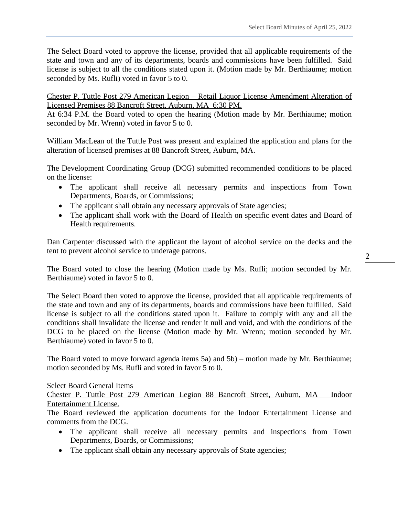The Select Board voted to approve the license, provided that all applicable requirements of the state and town and any of its departments, boards and commissions have been fulfilled. Said license is subject to all the conditions stated upon it. (Motion made by Mr. Berthiaume; motion seconded by Ms. Rufli) voted in favor 5 to 0.

Chester P. Tuttle Post 279 American Legion – Retail Liquor License Amendment Alteration of Licensed Premises 88 Bancroft Street, Auburn, MA 6:30 PM.

At 6:34 P.M. the Board voted to open the hearing (Motion made by Mr. Berthiaume; motion seconded by Mr. Wrenn) voted in favor 5 to 0.

William MacLean of the Tuttle Post was present and explained the application and plans for the alteration of licensed premises at 88 Bancroft Street, Auburn, MA.

The Development Coordinating Group (DCG) submitted recommended conditions to be placed on the license:

- The applicant shall receive all necessary permits and inspections from Town Departments, Boards, or Commissions;
- The applicant shall obtain any necessary approvals of State agencies;
- The applicant shall work with the Board of Health on specific event dates and Board of Health requirements.

Dan Carpenter discussed with the applicant the layout of alcohol service on the decks and the tent to prevent alcohol service to underage patrons.

The Board voted to close the hearing (Motion made by Ms. Rufli; motion seconded by Mr. Berthiaume) voted in favor 5 to 0.

The Select Board then voted to approve the license, provided that all applicable requirements of the state and town and any of its departments, boards and commissions have been fulfilled. Said license is subject to all the conditions stated upon it. Failure to comply with any and all the conditions shall invalidate the license and render it null and void, and with the conditions of the DCG to be placed on the license (Motion made by Mr. Wrenn; motion seconded by Mr. Berthiaume) voted in favor 5 to 0.

The Board voted to move forward agenda items 5a) and 5b) – motion made by Mr. Berthiaume; motion seconded by Ms. Rufli and voted in favor 5 to 0.

Select Board General Items

Chester P. Tuttle Post 279 American Legion 88 Bancroft Street, Auburn, MA – Indoor Entertainment License.

The Board reviewed the application documents for the Indoor Entertainment License and comments from the DCG.

- The applicant shall receive all necessary permits and inspections from Town Departments, Boards, or Commissions;
- The applicant shall obtain any necessary approvals of State agencies;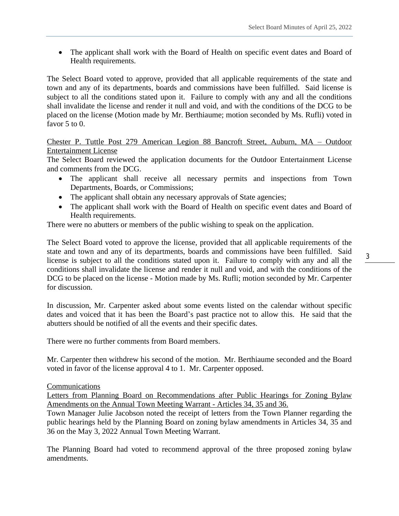• The applicant shall work with the Board of Health on specific event dates and Board of Health requirements.

The Select Board voted to approve, provided that all applicable requirements of the state and town and any of its departments, boards and commissions have been fulfilled. Said license is subject to all the conditions stated upon it. Failure to comply with any and all the conditions shall invalidate the license and render it null and void, and with the conditions of the DCG to be placed on the license (Motion made by Mr. Berthiaume; motion seconded by Ms. Rufli) voted in favor 5 to 0.

Chester P. Tuttle Post 279 American Legion 88 Bancroft Street, Auburn, MA – Outdoor Entertainment License

The Select Board reviewed the application documents for the Outdoor Entertainment License and comments from the DCG.

- The applicant shall receive all necessary permits and inspections from Town Departments, Boards, or Commissions;
- The applicant shall obtain any necessary approvals of State agencies;
- The applicant shall work with the Board of Health on specific event dates and Board of Health requirements.

There were no abutters or members of the public wishing to speak on the application.

The Select Board voted to approve the license, provided that all applicable requirements of the state and town and any of its departments, boards and commissions have been fulfilled. Said license is subject to all the conditions stated upon it. Failure to comply with any and all the conditions shall invalidate the license and render it null and void, and with the conditions of the DCG to be placed on the license - Motion made by Ms. Rufli; motion seconded by Mr. Carpenter for discussion.

In discussion, Mr. Carpenter asked about some events listed on the calendar without specific dates and voiced that it has been the Board's past practice not to allow this. He said that the abutters should be notified of all the events and their specific dates.

There were no further comments from Board members.

Mr. Carpenter then withdrew his second of the motion. Mr. Berthiaume seconded and the Board voted in favor of the license approval 4 to 1. Mr. Carpenter opposed.

**Communications** 

Letters from Planning Board on Recommendations after Public Hearings for Zoning Bylaw Amendments on the Annual Town Meeting Warrant - Articles 34, 35 and 36.

Town Manager Julie Jacobson noted the receipt of letters from the Town Planner regarding the public hearings held by the Planning Board on zoning bylaw amendments in Articles 34, 35 and 36 on the May 3, 2022 Annual Town Meeting Warrant.

The Planning Board had voted to recommend approval of the three proposed zoning bylaw amendments.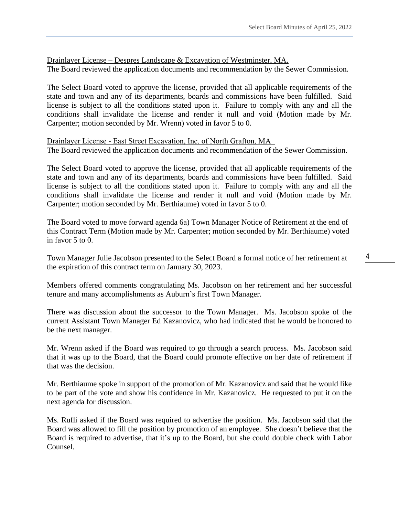Drainlayer License – Despres Landscape & Excavation of Westminster, MA. The Board reviewed the application documents and recommendation by the Sewer Commission.

The Select Board voted to approve the license, provided that all applicable requirements of the state and town and any of its departments, boards and commissions have been fulfilled. Said license is subject to all the conditions stated upon it. Failure to comply with any and all the conditions shall invalidate the license and render it null and void (Motion made by Mr. Carpenter; motion seconded by Mr. Wrenn) voted in favor 5 to 0.

Drainlayer License - East Street Excavation, Inc. of North Grafton, MA The Board reviewed the application documents and recommendation of the Sewer Commission.

The Select Board voted to approve the license, provided that all applicable requirements of the state and town and any of its departments, boards and commissions have been fulfilled. Said license is subject to all the conditions stated upon it. Failure to comply with any and all the conditions shall invalidate the license and render it null and void (Motion made by Mr. Carpenter; motion seconded by Mr. Berthiaume) voted in favor 5 to 0.

The Board voted to move forward agenda 6a) Town Manager Notice of Retirement at the end of this Contract Term (Motion made by Mr. Carpenter; motion seconded by Mr. Berthiaume) voted in favor 5 to 0.

Town Manager Julie Jacobson presented to the Select Board a formal notice of her retirement at the expiration of this contract term on January 30, 2023.

Members offered comments congratulating Ms. Jacobson on her retirement and her successful tenure and many accomplishments as Auburn's first Town Manager.

There was discussion about the successor to the Town Manager. Ms. Jacobson spoke of the current Assistant Town Manager Ed Kazanovicz, who had indicated that he would be honored to be the next manager.

Mr. Wrenn asked if the Board was required to go through a search process. Ms. Jacobson said that it was up to the Board, that the Board could promote effective on her date of retirement if that was the decision.

Mr. Berthiaume spoke in support of the promotion of Mr. Kazanovicz and said that he would like to be part of the vote and show his confidence in Mr. Kazanovicz. He requested to put it on the next agenda for discussion.

Ms. Rufli asked if the Board was required to advertise the position. Ms. Jacobson said that the Board was allowed to fill the position by promotion of an employee. She doesn't believe that the Board is required to advertise, that it's up to the Board, but she could double check with Labor Counsel.

4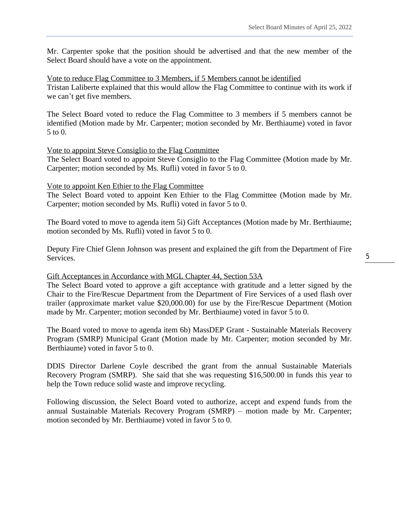Mr. Carpenter spoke that the position should be advertised and that the new member of the Select Board should have a vote on the appointment.

Vote to reduce Flag Committee to 3 Members, if 5 Members cannot be identified Tristan Laliberte explained that this would allow the Flag Committee to continue with its work if we can't get five members.

The Select Board voted to reduce the Flag Committee to 3 members if 5 members cannot be identified (Motion made by Mr. Carpenter; motion seconded by Mr. Berthiaume) voted in favor 5 to 0.

#### Vote to appoint Steve Consiglio to the Flag Committee

The Select Board voted to appoint Steve Consiglio to the Flag Committee (Motion made by Mr. Carpenter; motion seconded by Ms. Rufli) voted in favor 5 to 0.

#### Vote to appoint Ken Ethier to the Flag Committee

The Select Board voted to appoint Ken Ethier to the Flag Committee (Motion made by Mr. Carpenter; motion seconded by Ms. Rufli) voted in favor 5 to 0.

The Board voted to move to agenda item 5i) Gift Acceptances (Motion made by Mr. Berthiaume; motion seconded by Ms. Rufli) voted in favor 5 to 0.

Deputy Fire Chief Glenn Johnson was present and explained the gift from the Department of Fire Services.

## Gift Acceptances in Accordance with MGL Chapter 44, Section 53A

The Select Board voted to approve a gift acceptance with gratitude and a letter signed by the Chair to the Fire/Rescue Department from the Department of Fire Services of a used flash over trailer (approximate market value \$20,000.00) for use by the Fire/Rescue Department (Motion made by Mr. Carpenter; motion seconded by Mr. Berthiaume) voted in favor 5 to 0.

The Board voted to move to agenda item 6b) MassDEP Grant - Sustainable Materials Recovery Program (SMRP) Municipal Grant (Motion made by Mr. Carpenter; motion seconded by Mr. Berthiaume) voted in favor 5 to 0.

DDIS Director Darlene Coyle described the grant from the annual Sustainable Materials Recovery Program (SMRP). She said that she was requesting \$16,500.00 in funds this year to help the Town reduce solid waste and improve recycling.

Following discussion, the Select Board voted to authorize, accept and expend funds from the annual Sustainable Materials Recovery Program (SMRP) – motion made by Mr. Carpenter; motion seconded by Mr. Berthiaume) voted in favor 5 to 0.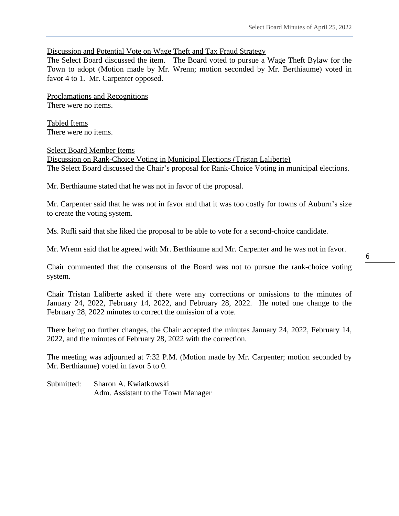## Discussion and Potential Vote on Wage Theft and Tax Fraud Strategy

The Select Board discussed the item. The Board voted to pursue a Wage Theft Bylaw for the Town to adopt (Motion made by Mr. Wrenn; motion seconded by Mr. Berthiaume) voted in favor 4 to 1. Mr. Carpenter opposed.

Proclamations and Recognitions There were no items.

Tabled Items There were no items.

## Select Board Member Items

Discussion on Rank-Choice Voting in Municipal Elections (Tristan Laliberte) The Select Board discussed the Chair's proposal for Rank-Choice Voting in municipal elections.

Mr. Berthiaume stated that he was not in favor of the proposal.

Mr. Carpenter said that he was not in favor and that it was too costly for towns of Auburn's size to create the voting system.

Ms. Rufli said that she liked the proposal to be able to vote for a second-choice candidate.

Mr. Wrenn said that he agreed with Mr. Berthiaume and Mr. Carpenter and he was not in favor.

Chair commented that the consensus of the Board was not to pursue the rank-choice voting system.

Chair Tristan Laliberte asked if there were any corrections or omissions to the minutes of January 24, 2022, February 14, 2022, and February 28, 2022. He noted one change to the February 28, 2022 minutes to correct the omission of a vote.

There being no further changes, the Chair accepted the minutes January 24, 2022, February 14, 2022, and the minutes of February 28, 2022 with the correction.

The meeting was adjourned at 7:32 P.M. (Motion made by Mr. Carpenter; motion seconded by Mr. Berthiaume) voted in favor 5 to 0.

Submitted: Sharon A. Kwiatkowski Adm. Assistant to the Town Manager